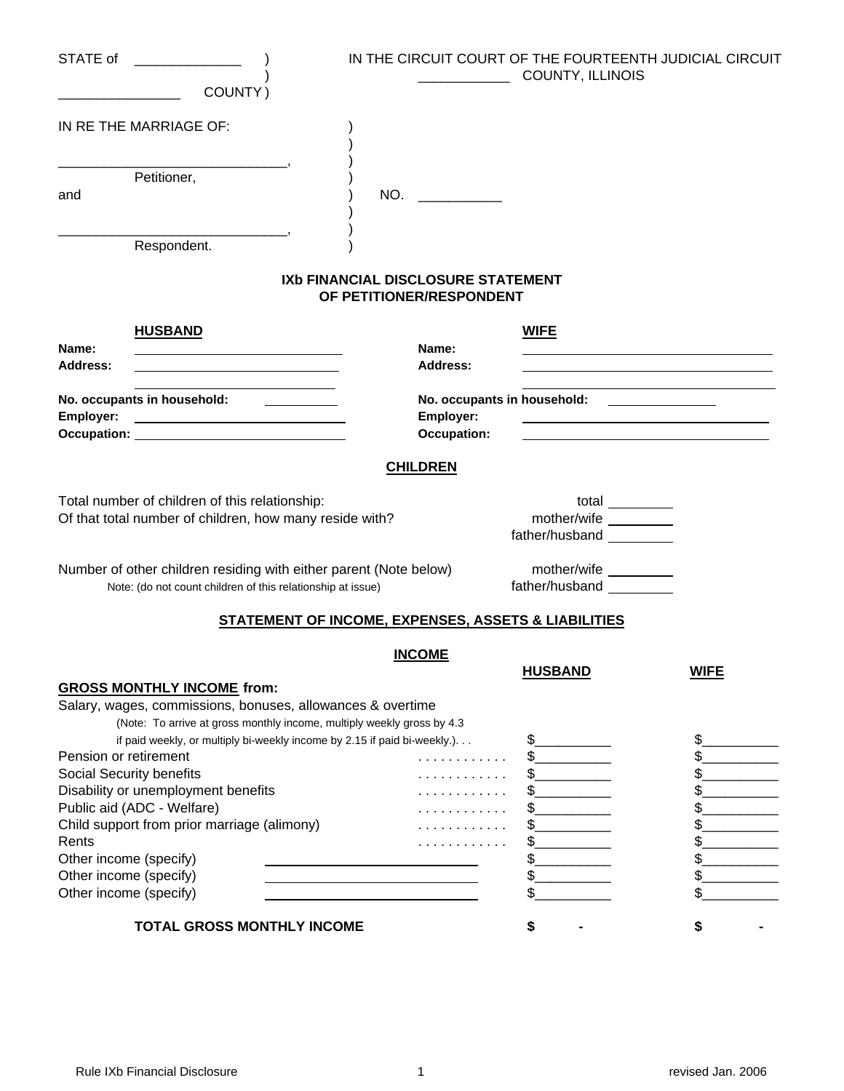| STATE of               |                                                                                                                                                                                                                                                        |                                                                       | IN THE CIRCUIT COURT OF THE FOURTEENTH JUDICIAL CIRCUIT<br>COUNTY, ILLINOIS                                                                                          |             |
|------------------------|--------------------------------------------------------------------------------------------------------------------------------------------------------------------------------------------------------------------------------------------------------|-----------------------------------------------------------------------|----------------------------------------------------------------------------------------------------------------------------------------------------------------------|-------------|
|                        | COUNTY)                                                                                                                                                                                                                                                |                                                                       |                                                                                                                                                                      |             |
|                        | IN RE THE MARRIAGE OF:                                                                                                                                                                                                                                 |                                                                       |                                                                                                                                                                      |             |
|                        | Petitioner,                                                                                                                                                                                                                                            |                                                                       |                                                                                                                                                                      |             |
| and                    |                                                                                                                                                                                                                                                        | NO.                                                                   |                                                                                                                                                                      |             |
|                        | Respondent.                                                                                                                                                                                                                                            |                                                                       |                                                                                                                                                                      |             |
|                        |                                                                                                                                                                                                                                                        | <b>IXb FINANCIAL DISCLOSURE STATEMENT</b><br>OF PETITIONER/RESPONDENT |                                                                                                                                                                      |             |
| Name:                  | <b>HUSBAND</b><br><u> 1989 - Johann Harry Barn, mars ar breist fan de Fryske kommunent fan de Fryske kommunent fan de Fryske kommun</u>                                                                                                                | Name:                                                                 | <b>WIFE</b>                                                                                                                                                          |             |
| Address:               |                                                                                                                                                                                                                                                        | Address:                                                              |                                                                                                                                                                      |             |
| Employer:              | No. occupants in household: ___________<br><u> Alexandria de la contenta de la contenta de la contenta de la contenta de la contenta de la contenta de la c</u><br>Occupation: New York District Property Assembly District Property Assembly          | Employer:<br><b>Occupation:</b>                                       | No. occupants in household: _______________<br><u> 1989 - Johann Harry Harry Harry Harry Harry Harry Harry Harry Harry Harry Harry Harry Harry Harry Harry Harry</u> |             |
|                        |                                                                                                                                                                                                                                                        |                                                                       |                                                                                                                                                                      |             |
|                        |                                                                                                                                                                                                                                                        | <b>CHILDREN</b>                                                       |                                                                                                                                                                      |             |
|                        | Total number of children of this relationship:<br>Of that total number of children, how many reside with?                                                                                                                                              |                                                                       | total $\_\_$<br>mother/wife _________                                                                                                                                |             |
|                        | Number of other children residing with either parent (Note below)<br>Note: (do not count children of this relationship at issue)                                                                                                                       |                                                                       | mother/wife _________                                                                                                                                                |             |
|                        |                                                                                                                                                                                                                                                        | <b>STATEMENT OF INCOME, EXPENSES, ASSETS &amp; LIABILITIES</b>        |                                                                                                                                                                      |             |
|                        |                                                                                                                                                                                                                                                        | <b>INCOME</b>                                                         |                                                                                                                                                                      |             |
|                        |                                                                                                                                                                                                                                                        |                                                                       | <b>HUSBAND</b>                                                                                                                                                       | <b>WIFE</b> |
|                        | <b>GROSS MONTHLY INCOME from:</b><br>Salary, wages, commissions, bonuses, allowances & overtime<br>(Note: To arrive at gross monthly income, multiply weekly gross by 4.3<br>if paid weekly, or multiply bi-weekly income by 2.15 if paid bi-weekly.). |                                                                       | $\frac{1}{2}$                                                                                                                                                        |             |
| Pension or retirement  |                                                                                                                                                                                                                                                        | .                                                                     | $\frac{1}{2}$                                                                                                                                                        |             |
|                        | Social Security benefits                                                                                                                                                                                                                               |                                                                       | $\mathbb{S}$                                                                                                                                                         |             |
|                        | Disability or unemployment benefits<br>Public aid (ADC - Welfare)                                                                                                                                                                                      |                                                                       | $\frac{1}{2}$<br>\$                                                                                                                                                  |             |
|                        | Child support from prior marriage (alimony)                                                                                                                                                                                                            |                                                                       | \$.                                                                                                                                                                  |             |
| Rents                  |                                                                                                                                                                                                                                                        |                                                                       | \$.                                                                                                                                                                  |             |
| Other income (specify) |                                                                                                                                                                                                                                                        |                                                                       | \$.                                                                                                                                                                  |             |
| Other income (specify) |                                                                                                                                                                                                                                                        |                                                                       | \$.                                                                                                                                                                  | \$          |
| Other income (specify) |                                                                                                                                                                                                                                                        |                                                                       | \$                                                                                                                                                                   | \$          |
|                        | <b>TOTAL GROSS MONTHLY INCOME</b>                                                                                                                                                                                                                      |                                                                       | S                                                                                                                                                                    |             |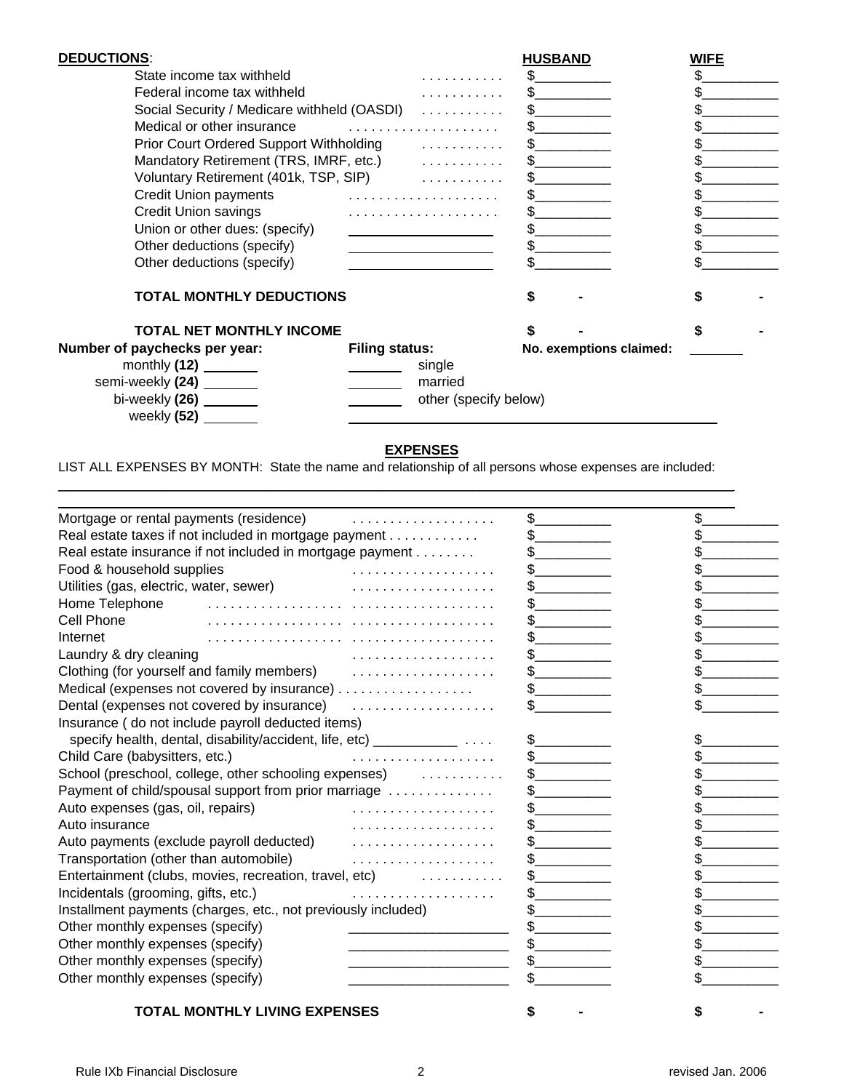| <b>DEDUCTIONS:</b>                          |                       | <b>HUSBAND</b> |                         | <b>WIFE</b> |  |
|---------------------------------------------|-----------------------|----------------|-------------------------|-------------|--|
| State income tax withheld                   |                       | S.             |                         |             |  |
| Federal income tax withheld                 | .                     | \$.            |                         |             |  |
| Social Security / Medicare withheld (OASDI) |                       |                |                         |             |  |
| Medical or other insurance                  |                       |                |                         |             |  |
| Mandatory Retirement (TRS, IMRF, etc.) [10] |                       |                |                         |             |  |
|                                             |                       |                |                         |             |  |
|                                             |                       |                | Credit Union payments   |             |  |
| <b>Credit Union savings</b>                 |                       |                |                         |             |  |
| Union or other dues: (specify)              |                       |                |                         |             |  |
| Other deductions (specify)                  |                       |                |                         |             |  |
| Other deductions (specify)                  |                       |                |                         |             |  |
|                                             |                       |                |                         |             |  |
| <b>TOTAL MONTHLY DEDUCTIONS</b>             |                       |                |                         |             |  |
| <b>TOTAL NET MONTHLY INCOME</b>             |                       |                |                         | \$          |  |
| Number of paychecks per year:               | <b>Filing status:</b> |                | No. exemptions claimed: |             |  |
|                                             | single                |                |                         |             |  |
| semi-weekly (24) _______                    | married               |                |                         |             |  |
| bi-weekly $(26)$ ________                   | other (specify below) |                |                         |             |  |
| weekly (52)                                 |                       |                |                         |             |  |

## **EXPENSES**

LIST ALL EXPENSES BY MONTH: State the name and relationship of all persons whose expenses are included:

\_\_\_\_\_\_\_\_\_\_\_\_\_\_\_\_\_\_\_\_\_\_\_\_\_\_\_\_\_\_\_\_\_\_\_\_\_\_\_\_\_\_\_\_\_\_\_\_\_\_\_\_\_\_\_\_\_\_\_\_\_\_\_\_\_\_\_\_\_\_\_\_\_\_\_\_\_\_\_\_\_\_\_\_\_\_\_\_\_\_\_\_\_

| <b>TOTAL MONTHLY LIVING EXPENSES</b>                                    |               |               |    |
|-------------------------------------------------------------------------|---------------|---------------|----|
| Other monthly expenses (specify)                                        |               |               |    |
| Other monthly expenses (specify)                                        |               |               |    |
| Other monthly expenses (specify)                                        |               |               |    |
| Other monthly expenses (specify)                                        |               |               |    |
| Installment payments (charges, etc., not previously included)           |               |               |    |
| Incidentals (grooming, gifts, etc.)                                     |               |               |    |
| Entertainment (clubs, movies, recreation, travel, etc)                  | .             |               |    |
| Transportation (other than automobile)                                  | .             |               |    |
|                                                                         |               |               |    |
| Auto insurance                                                          | .             |               |    |
| Auto expenses (gas, oil, repairs)                                       |               |               |    |
| Payment of child/spousal support from prior marriage                    | $\frac{1}{2}$ |               |    |
| School (preschool, college, other schooling expenses) www.community.com |               |               |    |
| Child Care (babysitters, etc.)<br>.                                     |               |               |    |
| specify health, dental, disability/accident, life, etc) ____________    | \$            | \$            |    |
| Insurance (do not include payroll deducted items)                       |               |               |    |
| Dental (expenses not covered by insurance)                              |               |               |    |
| Medical (expenses not covered by insurance)                             |               |               |    |
|                                                                         |               | $\frac{1}{2}$ |    |
| Laundry & dry cleaning                                                  |               |               |    |
| Internet                                                                |               |               |    |
| Cell Phone                                                              |               |               |    |
| Home Telephone                                                          |               |               |    |
|                                                                         |               | $\frac{1}{2}$ |    |
| Food & household supplies                                               | .             |               |    |
| Real estate insurance if not included in mortgage payment               |               |               |    |
| Real estate taxes if not included in mortgage payment                   |               | $\frac{1}{2}$ |    |
| Mortgage or rental payments (residence)                                 | .             | $\sim$        | \$ |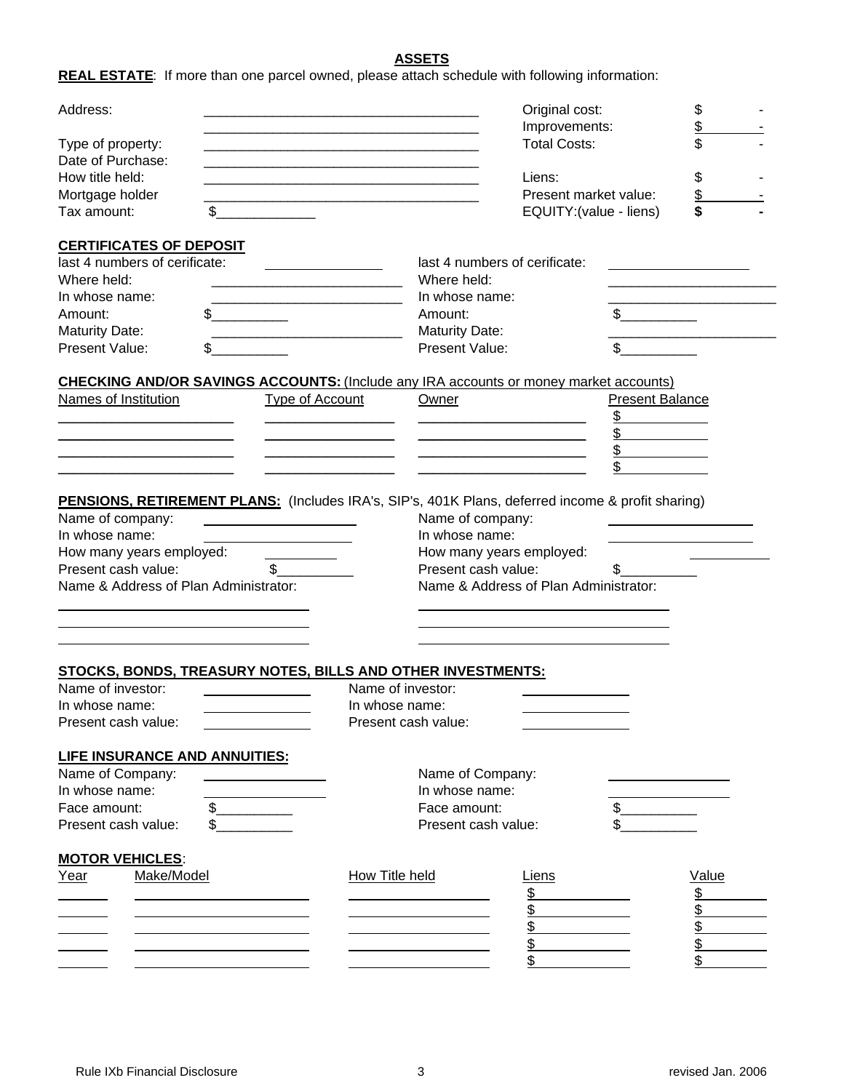## **ASSETS**

**REAL ESTATE**: If more than one parcel owned, please attach schedule with following information:

| Address:                                                 |                                                                                                                                                                                                                                      |                                                 | Original cost:<br>Improvements:                  |                        | \$<br>\$ |  |
|----------------------------------------------------------|--------------------------------------------------------------------------------------------------------------------------------------------------------------------------------------------------------------------------------------|-------------------------------------------------|--------------------------------------------------|------------------------|----------|--|
| Type of property:<br>Date of Purchase:                   |                                                                                                                                                                                                                                      |                                                 | <b>Total Costs:</b>                              |                        | \$       |  |
| How title held:                                          |                                                                                                                                                                                                                                      |                                                 | Liens:                                           |                        | \$       |  |
| Mortgage holder<br>Tax amount:                           | \$                                                                                                                                                                                                                                   |                                                 | Present market value:<br>EQUITY: (value - liens) |                        | \$<br>\$ |  |
|                                                          |                                                                                                                                                                                                                                      |                                                 |                                                  |                        |          |  |
| <b>CERTIFICATES OF DEPOSIT</b>                           |                                                                                                                                                                                                                                      |                                                 |                                                  |                        |          |  |
| last 4 numbers of cerificate:<br>Where held:             |                                                                                                                                                                                                                                      | Where held:                                     | last 4 numbers of cerificate:                    |                        |          |  |
| In whose name:                                           |                                                                                                                                                                                                                                      |                                                 | In whose name:                                   |                        |          |  |
| Amount:                                                  | \$                                                                                                                                                                                                                                   | Amount:                                         |                                                  |                        |          |  |
| <b>Maturity Date:</b>                                    |                                                                                                                                                                                                                                      | <b>Maturity Date:</b>                           |                                                  |                        |          |  |
| Present Value:                                           |                                                                                                                                                                                                                                      | Present Value:                                  |                                                  | \$.                    |          |  |
|                                                          | <b>CHECKING AND/OR SAVINGS ACCOUNTS: (Include any IRA accounts or money market accounts)</b>                                                                                                                                         |                                                 |                                                  |                        |          |  |
| Names of Institution                                     | Type of Account                                                                                                                                                                                                                      | Owner                                           |                                                  | <b>Present Balance</b> |          |  |
|                                                          |                                                                                                                                                                                                                                      |                                                 |                                                  | \$                     |          |  |
|                                                          |                                                                                                                                                                                                                                      |                                                 |                                                  | \$                     |          |  |
|                                                          |                                                                                                                                                                                                                                      |                                                 |                                                  | \$                     |          |  |
|                                                          |                                                                                                                                                                                                                                      |                                                 |                                                  |                        |          |  |
|                                                          | <b>PENSIONS, RETIREMENT PLANS:</b> (Includes IRA's, SIP's, 401K Plans, deferred income & profit sharing)                                                                                                                             |                                                 |                                                  |                        |          |  |
| Name of company:                                         | <u> 1989 - Jan Stein Stein Stein Stein Stein Stein Stein Stein Stein Stein Stein Stein Stein Stein Stein Stein Stein Stein Stein Stein Stein Stein Stein Stein Stein Stein Stein Stein Stein Stein Stein Stein Stein Stein Stein</u> |                                                 | Name of company:                                 |                        |          |  |
| In whose name:                                           |                                                                                                                                                                                                                                      |                                                 | In whose name:                                   |                        |          |  |
| How many years employed:<br>Present cash value:          | $\mathbb{S}$                                                                                                                                                                                                                         | How many years employed:<br>Present cash value: |                                                  | \$                     |          |  |
| Name & Address of Plan Administrator:                    |                                                                                                                                                                                                                                      |                                                 | Name & Address of Plan Administrator:            |                        |          |  |
|                                                          |                                                                                                                                                                                                                                      |                                                 |                                                  |                        |          |  |
|                                                          |                                                                                                                                                                                                                                      |                                                 |                                                  |                        |          |  |
|                                                          |                                                                                                                                                                                                                                      |                                                 |                                                  |                        |          |  |
|                                                          | <b>STOCKS, BONDS, TREASURY NOTES, BILLS AND OTHER INVESTMENTS:</b>                                                                                                                                                                   |                                                 |                                                  |                        |          |  |
| Name of investor:                                        |                                                                                                                                                                                                                                      | Name of investor:                               |                                                  |                        |          |  |
| In whose name:                                           |                                                                                                                                                                                                                                      | In whose name:                                  |                                                  |                        |          |  |
| Present cash value:                                      |                                                                                                                                                                                                                                      | Present cash value:                             |                                                  |                        |          |  |
|                                                          |                                                                                                                                                                                                                                      |                                                 |                                                  |                        |          |  |
| <b>LIFE INSURANCE AND ANNUITIES:</b><br>Name of Company: |                                                                                                                                                                                                                                      |                                                 | Name of Company:                                 |                        |          |  |
| In whose name:                                           |                                                                                                                                                                                                                                      |                                                 | In whose name:                                   |                        |          |  |
| Face amount:                                             | $\frac{1}{2}$                                                                                                                                                                                                                        | Face amount:                                    |                                                  | \$                     |          |  |
| Present cash value:                                      |                                                                                                                                                                                                                                      |                                                 | Present cash value:                              |                        |          |  |
| <b>MOTOR VEHICLES:</b>                                   |                                                                                                                                                                                                                                      |                                                 |                                                  |                        |          |  |
| Make/Model<br>Year                                       |                                                                                                                                                                                                                                      | <b>How Title held</b>                           | <u>Liens</u>                                     |                        | Value    |  |
|                                                          |                                                                                                                                                                                                                                      |                                                 | \$                                               |                        | \$       |  |
|                                                          | the control of the control of the control of the control of the control of                                                                                                                                                           |                                                 | \$                                               |                        | \$       |  |
|                                                          | the contract of the contract of the contract of the contract of the contract of                                                                                                                                                      |                                                 | \$                                               |                        | \$       |  |
|                                                          |                                                                                                                                                                                                                                      |                                                 | \$                                               |                        | \$       |  |
|                                                          |                                                                                                                                                                                                                                      |                                                 |                                                  |                        | \$       |  |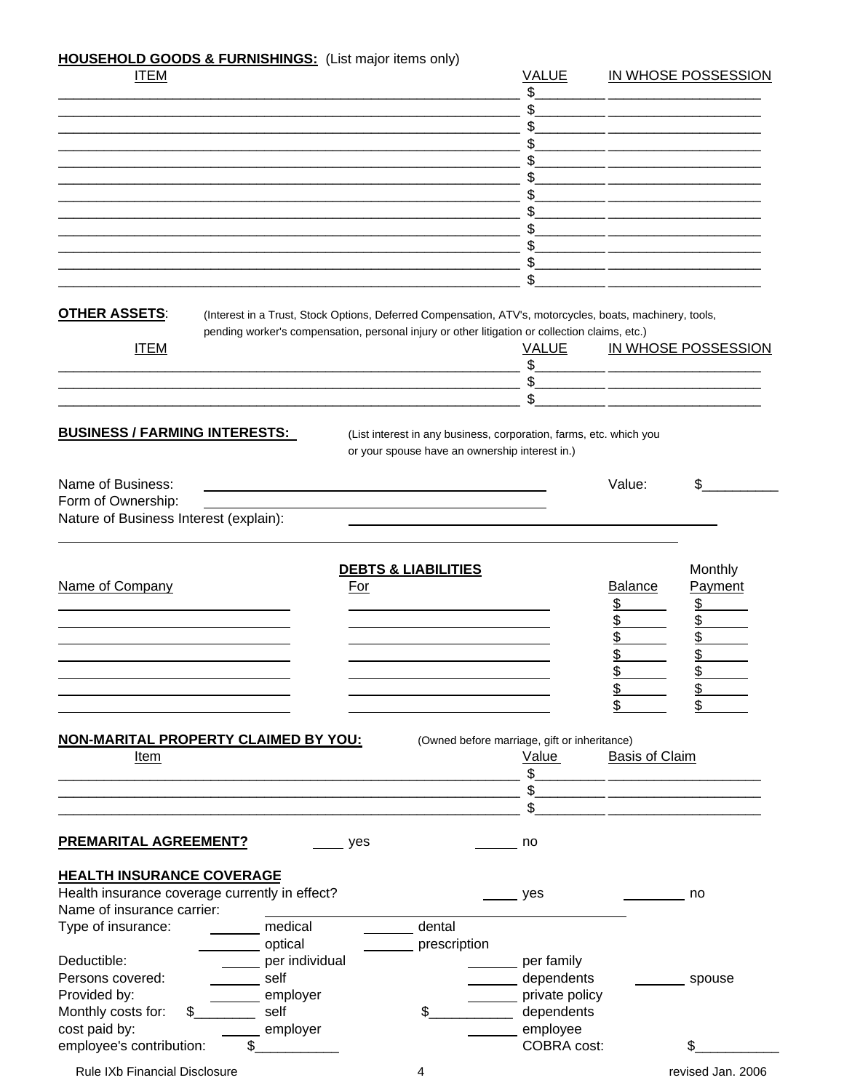## **HOUSEHOLD GOODS & FURNISHINGS:** (List major items only)

| <b>ITEM</b>                                    |                        |                                                                                                          | <b>VALUE</b>                                 |                       | IN WHOSE POSSESSION |
|------------------------------------------------|------------------------|----------------------------------------------------------------------------------------------------------|----------------------------------------------|-----------------------|---------------------|
|                                                |                        |                                                                                                          | \$                                           |                       |                     |
|                                                |                        |                                                                                                          |                                              |                       |                     |
|                                                |                        |                                                                                                          |                                              |                       |                     |
|                                                |                        |                                                                                                          |                                              |                       |                     |
|                                                |                        |                                                                                                          |                                              |                       |                     |
|                                                |                        |                                                                                                          |                                              |                       |                     |
|                                                |                        |                                                                                                          |                                              |                       |                     |
|                                                |                        |                                                                                                          |                                              |                       |                     |
|                                                |                        |                                                                                                          | \$                                           |                       |                     |
|                                                |                        |                                                                                                          | $\frac{1}{2}$                                |                       |                     |
|                                                |                        |                                                                                                          | \$                                           |                       |                     |
| <b>OTHER ASSETS:</b>                           |                        | (Interest in a Trust, Stock Options, Deferred Compensation, ATV's, motorcycles, boats, machinery, tools, |                                              |                       |                     |
|                                                |                        | pending worker's compensation, personal injury or other litigation or collection claims, etc.)           |                                              |                       |                     |
| <b>ITEM</b>                                    |                        |                                                                                                          | <b>VALUE</b>                                 |                       | IN WHOSE POSSESSION |
|                                                |                        |                                                                                                          | \$                                           |                       |                     |
|                                                |                        |                                                                                                          | \$                                           |                       |                     |
|                                                |                        |                                                                                                          |                                              |                       |                     |
|                                                |                        |                                                                                                          |                                              |                       |                     |
| <b>BUSINESS / FARMING INTERESTS:</b>           |                        | (List interest in any business, corporation, farms, etc. which you                                       |                                              |                       |                     |
|                                                |                        | or your spouse have an ownership interest in.)                                                           |                                              |                       |                     |
| Name of Business:                              |                        |                                                                                                          |                                              | Value:                | \$                  |
| Form of Ownership:                             |                        |                                                                                                          |                                              |                       |                     |
| Nature of Business Interest (explain):         |                        |                                                                                                          |                                              |                       |                     |
|                                                |                        |                                                                                                          |                                              |                       |                     |
|                                                |                        |                                                                                                          |                                              |                       |                     |
|                                                |                        | <b>DEBTS &amp; LIABILITIES</b>                                                                           |                                              |                       | Monthly             |
| Name of Company                                | <b>For</b>             |                                                                                                          |                                              | <b>Balance</b>        | Payment             |
|                                                |                        |                                                                                                          |                                              | <u>\$</u>             | \$                  |
|                                                |                        |                                                                                                          |                                              | \$                    | \$                  |
|                                                |                        |                                                                                                          |                                              | \$                    | \$                  |
|                                                |                        |                                                                                                          |                                              | \$                    | \$                  |
|                                                |                        |                                                                                                          |                                              | \$                    | \$<br>¢             |
|                                                |                        |                                                                                                          |                                              | ⊋                     |                     |
|                                                |                        |                                                                                                          |                                              | \$                    |                     |
| NON-MARITAL PROPERTY CLAIMED BY YOU:           |                        |                                                                                                          | (Owned before marriage, gift or inheritance) |                       |                     |
| Item                                           |                        |                                                                                                          | Value                                        | <b>Basis of Claim</b> |                     |
|                                                |                        |                                                                                                          | \$                                           |                       |                     |
|                                                |                        |                                                                                                          |                                              |                       |                     |
|                                                |                        |                                                                                                          | \$                                           |                       |                     |
|                                                |                        |                                                                                                          |                                              |                       |                     |
| <b>PREMARITAL AGREEMENT?</b>                   | yes                    |                                                                                                          | no                                           |                       |                     |
|                                                |                        |                                                                                                          |                                              |                       |                     |
| <b>HEALTH INSURANCE COVERAGE</b>               |                        |                                                                                                          |                                              |                       |                     |
| Health insurance coverage currently in effect? |                        |                                                                                                          | yes                                          |                       | no                  |
| Name of insurance carrier:                     |                        |                                                                                                          |                                              |                       |                     |
| Type of insurance:                             | medical                | dental                                                                                                   |                                              |                       |                     |
| Deductible:                                    | optical                | prescription                                                                                             |                                              |                       |                     |
| Persons covered:                               | per individual<br>self |                                                                                                          | per family                                   |                       |                     |
| Provided by:                                   |                        |                                                                                                          | dependents                                   |                       | spouse              |
| Monthly costs for:                             | employer<br>self       | \$                                                                                                       | private policy<br>dependents                 |                       |                     |
| cost paid by:                                  |                        |                                                                                                          | employee                                     |                       |                     |
| employee's contribution:                       | employer<br>\$         |                                                                                                          | COBRA cost:                                  |                       | \$                  |
|                                                |                        |                                                                                                          |                                              |                       |                     |
| Rule IXb Financial Disclosure                  |                        | 4                                                                                                        |                                              |                       | revised Jan. 2006   |